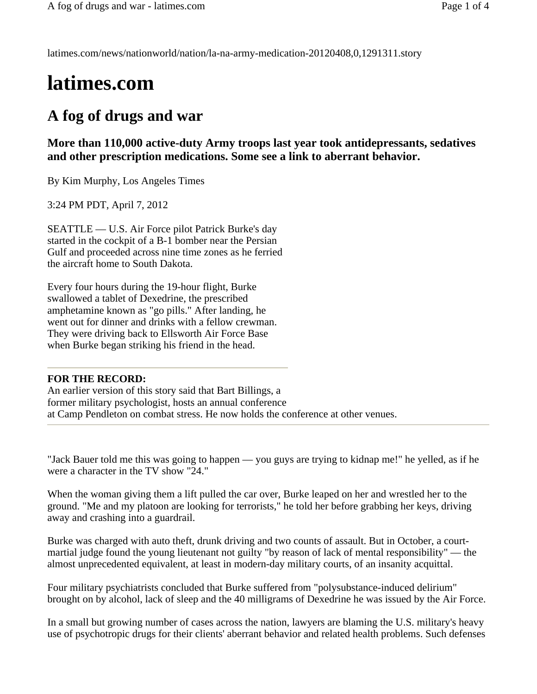latimes.com/news/nationworld/nation/la-na-army-medication-20120408,0,1291311.story

## **latimes.com**

## **A fog of drugs and war**

**More than 110,000 active-duty Army troops last year took antidepressants, sedatives and other prescription medications. Some see a link to aberrant behavior.** 

By Kim Murphy, Los Angeles Times

3:24 PM PDT, April 7, 2012

SEATTLE — U.S. Air Force pilot Patrick Burke's day started in the cockpit of a B-1 bomber near the Persian Gulf and proceeded across nine time zones as he ferried the aircraft home to South Dakota.

Every four hours during the 19-hour flight, Burke swallowed a tablet of Dexedrine, the prescribed amphetamine known as "go pills." After landing, he went out for dinner and drinks with a fellow crewman. They were driving back to Ellsworth Air Force Base when Burke began striking his friend in the head.

## **FOR THE RECORD:**

An earlier version of this story said that Bart Billings, a former military psychologist, hosts an annual conference at Camp Pendleton on combat stress. He now holds the conference at other venues.

"Jack Bauer told me this was going to happen — you guys are trying to kidnap me!" he yelled, as if he were a character in the TV show "24."

When the woman giving them a lift pulled the car over, Burke leaped on her and wrestled her to the ground. "Me and my platoon are looking for terrorists," he told her before grabbing her keys, driving away and crashing into a guardrail.

Burke was charged with auto theft, drunk driving and two counts of assault. But in October, a courtmartial judge found the young lieutenant not guilty "by reason of lack of mental responsibility" — the almost unprecedented equivalent, at least in modern-day military courts, of an insanity acquittal.

Four military psychiatrists concluded that Burke suffered from "polysubstance-induced delirium" brought on by alcohol, lack of sleep and the 40 milligrams of Dexedrine he was issued by the Air Force.

In a small but growing number of cases across the nation, lawyers are blaming the U.S. military's heavy use of psychotropic drugs for their clients' aberrant behavior and related health problems. Such defenses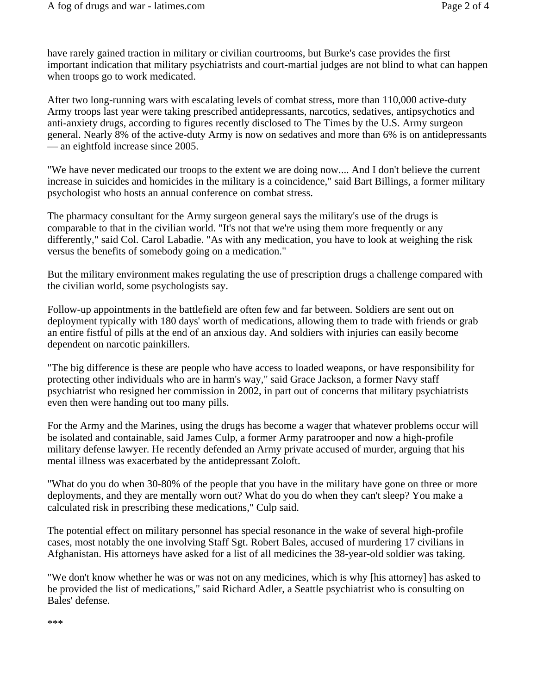have rarely gained traction in military or civilian courtrooms, but Burke's case provides the first important indication that military psychiatrists and court-martial judges are not blind to what can happen when troops go to work medicated.

After two long-running wars with escalating levels of combat stress, more than 110,000 active-duty Army troops last year were taking prescribed antidepressants, narcotics, sedatives, antipsychotics and anti-anxiety drugs, according to figures recently disclosed to The Times by the U.S. Army surgeon general. Nearly 8% of the active-duty Army is now on sedatives and more than 6% is on antidepressants — an eightfold increase since 2005.

"We have never medicated our troops to the extent we are doing now.... And I don't believe the current increase in suicides and homicides in the military is a coincidence," said Bart Billings, a former military psychologist who hosts an annual conference on combat stress.

The pharmacy consultant for the Army surgeon general says the military's use of the drugs is comparable to that in the civilian world. "It's not that we're using them more frequently or any differently," said Col. Carol Labadie. "As with any medication, you have to look at weighing the risk versus the benefits of somebody going on a medication."

But the military environment makes regulating the use of prescription drugs a challenge compared with the civilian world, some psychologists say.

Follow-up appointments in the battlefield are often few and far between. Soldiers are sent out on deployment typically with 180 days' worth of medications, allowing them to trade with friends or grab an entire fistful of pills at the end of an anxious day. And soldiers with injuries can easily become dependent on narcotic painkillers.

"The big difference is these are people who have access to loaded weapons, or have responsibility for protecting other individuals who are in harm's way," said Grace Jackson, a former Navy staff psychiatrist who resigned her commission in 2002, in part out of concerns that military psychiatrists even then were handing out too many pills.

For the Army and the Marines, using the drugs has become a wager that whatever problems occur will be isolated and containable, said James Culp, a former Army paratrooper and now a high-profile military defense lawyer. He recently defended an Army private accused of murder, arguing that his mental illness was exacerbated by the antidepressant Zoloft.

"What do you do when 30-80% of the people that you have in the military have gone on three or more deployments, and they are mentally worn out? What do you do when they can't sleep? You make a calculated risk in prescribing these medications," Culp said.

The potential effect on military personnel has special resonance in the wake of several high-profile cases, most notably the one involving Staff Sgt. Robert Bales, accused of murdering 17 civilians in Afghanistan. His attorneys have asked for a list of all medicines the 38-year-old soldier was taking.

"We don't know whether he was or was not on any medicines, which is why [his attorney] has asked to be provided the list of medications," said Richard Adler, a Seattle psychiatrist who is consulting on Bales' defense.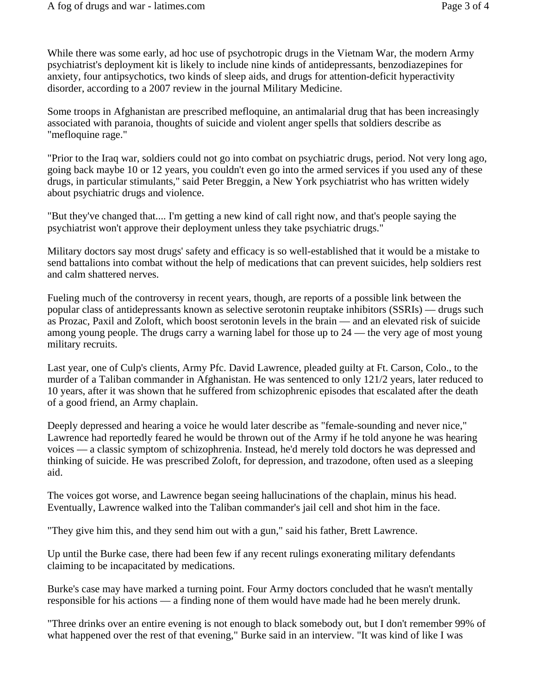While there was some early, ad hoc use of psychotropic drugs in the Vietnam War, the modern Army psychiatrist's deployment kit is likely to include nine kinds of antidepressants, benzodiazepines for anxiety, four antipsychotics, two kinds of sleep aids, and drugs for attention-deficit hyperactivity disorder, according to a 2007 review in the journal Military Medicine.

Some troops in Afghanistan are prescribed mefloquine, an antimalarial drug that has been increasingly associated with paranoia, thoughts of suicide and violent anger spells that soldiers describe as "mefloquine rage."

"Prior to the Iraq war, soldiers could not go into combat on psychiatric drugs, period. Not very long ago, going back maybe 10 or 12 years, you couldn't even go into the armed services if you used any of these drugs, in particular stimulants," said Peter Breggin, a New York psychiatrist who has written widely about psychiatric drugs and violence.

"But they've changed that.... I'm getting a new kind of call right now, and that's people saying the psychiatrist won't approve their deployment unless they take psychiatric drugs."

Military doctors say most drugs' safety and efficacy is so well-established that it would be a mistake to send battalions into combat without the help of medications that can prevent suicides, help soldiers rest and calm shattered nerves.

Fueling much of the controversy in recent years, though, are reports of a possible link between the popular class of antidepressants known as selective serotonin reuptake inhibitors (SSRIs) — drugs such as Prozac, Paxil and Zoloft, which boost serotonin levels in the brain — and an elevated risk of suicide among young people. The drugs carry a warning label for those up to 24 — the very age of most young military recruits.

Last year, one of Culp's clients, Army Pfc. David Lawrence, pleaded guilty at Ft. Carson, Colo., to the murder of a Taliban commander in Afghanistan. He was sentenced to only 121/2 years, later reduced to 10 years, after it was shown that he suffered from schizophrenic episodes that escalated after the death of a good friend, an Army chaplain.

Deeply depressed and hearing a voice he would later describe as "female-sounding and never nice," Lawrence had reportedly feared he would be thrown out of the Army if he told anyone he was hearing voices — a classic symptom of schizophrenia. Instead, he'd merely told doctors he was depressed and thinking of suicide. He was prescribed Zoloft, for depression, and trazodone, often used as a sleeping aid.

The voices got worse, and Lawrence began seeing hallucinations of the chaplain, minus his head. Eventually, Lawrence walked into the Taliban commander's jail cell and shot him in the face.

"They give him this, and they send him out with a gun," said his father, Brett Lawrence.

Up until the Burke case, there had been few if any recent rulings exonerating military defendants claiming to be incapacitated by medications.

Burke's case may have marked a turning point. Four Army doctors concluded that he wasn't mentally responsible for his actions — a finding none of them would have made had he been merely drunk.

"Three drinks over an entire evening is not enough to black somebody out, but I don't remember 99% of what happened over the rest of that evening," Burke said in an interview. "It was kind of like I was